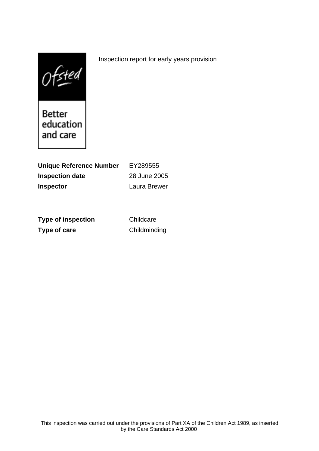Ofsted

Better<br>education and care

| <b>Unique Reference Number</b> | EY289555     |
|--------------------------------|--------------|
| <b>Inspection date</b>         | 28 June 2005 |
| <b>Inspector</b>               | Laura Brewer |

**Type of inspection** Childcare **Type of care** Childminding

Inspection report for early years provision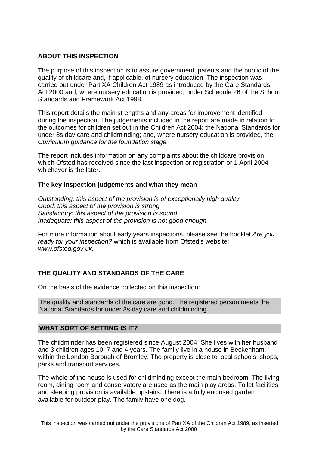## **ABOUT THIS INSPECTION**

The purpose of this inspection is to assure government, parents and the public of the quality of childcare and, if applicable, of nursery education. The inspection was carried out under Part XA Children Act 1989 as introduced by the Care Standards Act 2000 and, where nursery education is provided, under Schedule 26 of the School Standards and Framework Act 1998.

This report details the main strengths and any areas for improvement identified during the inspection. The judgements included in the report are made in relation to the outcomes for children set out in the Children Act 2004; the National Standards for under 8s day care and childminding; and, where nursery education is provided, the Curriculum guidance for the foundation stage.

The report includes information on any complaints about the childcare provision which Ofsted has received since the last inspection or registration or 1 April 2004 whichever is the later.

### **The key inspection judgements and what they mean**

Outstanding: this aspect of the provision is of exceptionally high quality Good: this aspect of the provision is strong Satisfactory: this aspect of the provision is sound Inadequate: this aspect of the provision is not good enough

For more information about early years inspections, please see the booklet Are you ready for your inspection? which is available from Ofsted's website: www.ofsted.gov.uk.

# **THE QUALITY AND STANDARDS OF THE CARE**

On the basis of the evidence collected on this inspection:

The quality and standards of the care are good. The registered person meets the National Standards for under 8s day care and childminding.

### **WHAT SORT OF SETTING IS IT?**

The childminder has been registered since August 2004. She lives with her husband and 3 children ages 10, 7 and 4 years. The family live in a house in Beckenham, within the London Borough of Bromley. The property is close to local schools, shops, parks and transport services.

The whole of the house is used for childminding except the main bedroom. The living room, dining room and conservatory are used as the main play areas. Toilet facilities and sleeping provision is available upstairs. There is a fully enclosed garden available for outdoor play. The family have one dog.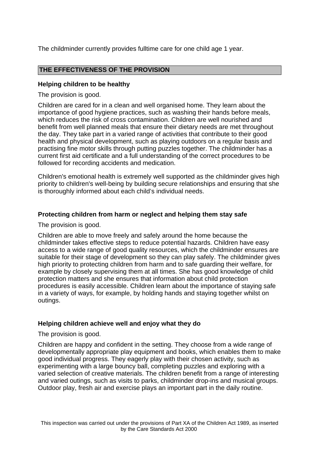The childminder currently provides fulltime care for one child age 1 year.

### **THE EFFECTIVENESS OF THE PROVISION**

### **Helping children to be healthy**

The provision is good.

Children are cared for in a clean and well organised home. They learn about the importance of good hygiene practices, such as washing their hands before meals, which reduces the risk of cross contamination. Children are well nourished and benefit from well planned meals that ensure their dietary needs are met throughout the day. They take part in a varied range of activities that contribute to their good health and physical development, such as playing outdoors on a regular basis and practising fine motor skills through putting puzzles together. The childminder has a current first aid certificate and a full understanding of the correct procedures to be followed for recording accidents and medication.

Children's emotional health is extremely well supported as the childminder gives high priority to children's well-being by building secure relationships and ensuring that she is thoroughly informed about each child's individual needs.

## **Protecting children from harm or neglect and helping them stay safe**

The provision is good.

Children are able to move freely and safely around the home because the childminder takes effective steps to reduce potential hazards. Children have easy access to a wide range of good quality resources, which the childminder ensures are suitable for their stage of development so they can play safely. The childminder gives high priority to protecting children from harm and to safe guarding their welfare, for example by closely supervising them at all times. She has good knowledge of child protection matters and she ensures that information about child protection procedures is easily accessible. Children learn about the importance of staying safe in a variety of ways, for example, by holding hands and staying together whilst on outings.

### **Helping children achieve well and enjoy what they do**

The provision is good.

Children are happy and confident in the setting. They choose from a wide range of developmentally appropriate play equipment and books, which enables them to make good individual progress. They eagerly play with their chosen activity, such as experimenting with a large bouncy ball, completing puzzles and exploring with a varied selection of creative materials. The children benefit from a range of interesting and varied outings, such as visits to parks, childminder drop-ins and musical groups. Outdoor play, fresh air and exercise plays an important part in the daily routine.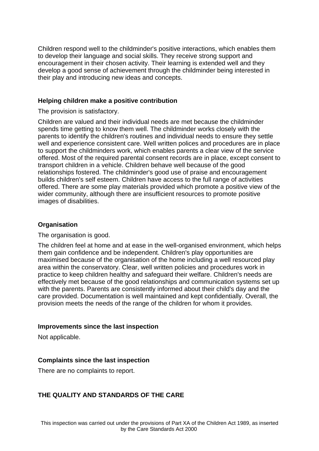Children respond well to the childminder's positive interactions, which enables them to develop their language and social skills. They receive strong support and encouragement in their chosen activity. Their learning is extended well and they develop a good sense of achievement through the childminder being interested in their play and introducing new ideas and concepts.

#### **Helping children make a positive contribution**

The provision is satisfactory.

Children are valued and their individual needs are met because the childminder spends time getting to know them well. The childminder works closely with the parents to identify the children's routines and individual needs to ensure they settle well and experience consistent care. Well written polices and procedures are in place to support the childminders work, which enables parents a clear view of the service offered. Most of the required parental consent records are in place, except consent to transport children in a vehicle. Children behave well because of the good relationships fostered. The childminder's good use of praise and encouragement builds children's self esteem. Children have access to the full range of activities offered. There are some play materials provided which promote a positive view of the wider community, although there are insufficient resources to promote positive images of disabilities.

### **Organisation**

The organisation is good.

The children feel at home and at ease in the well-organised environment, which helps them gain confidence and be independent. Children's play opportunities are maximised because of the organisation of the home including a well resourced play area within the conservatory. Clear, well written policies and procedures work in practice to keep children healthy and safeguard their welfare. Children's needs are effectively met because of the good relationships and communication systems set up with the parents. Parents are consistently informed about their child's day and the care provided. Documentation is well maintained and kept confidentially. Overall, the provision meets the needs of the range of the children for whom it provides.

#### **Improvements since the last inspection**

Not applicable.

#### **Complaints since the last inspection**

There are no complaints to report.

### **THE QUALITY AND STANDARDS OF THE CARE**